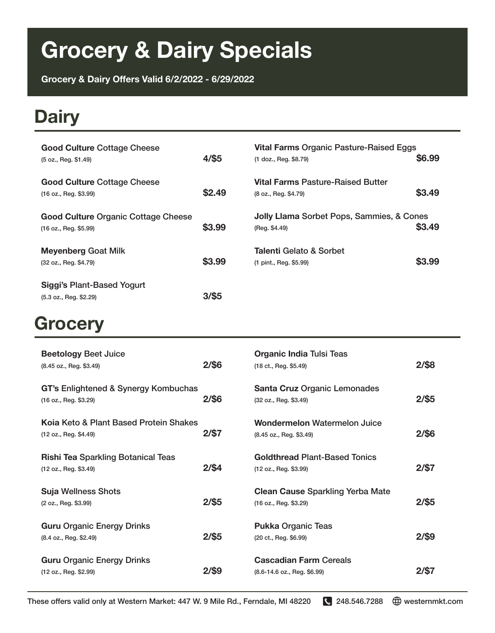# **Grocery & Dairy Specials**

**Grocery & Dairy Offers Valid 6/2/2022 - 6/29/2022**

#### **Dairy**

| <b>Good Culture Cottage Cheese</b><br>(5 oz., Reg. \$1.49)          | $4/$ \$5 | <b>Vital Farms Organic Pasture-Raised Eggs</b><br>(1 doz., Reg. \$8.79) | \$6.99 |
|---------------------------------------------------------------------|----------|-------------------------------------------------------------------------|--------|
| <b>Good Culture Cottage Cheese</b><br>(16 oz., Reg. \$3.99)         | \$2.49   | Vital Farms Pasture-Raised Butter<br>(8 oz., Reg. \$4.79)               | \$3.49 |
| <b>Good Culture Organic Cottage Cheese</b><br>(16 oz., Reg. \$5.99) | \$3.99   | Jolly Llama Sorbet Pops, Sammies, & Cones<br>(Reg. \$4.49)              | \$3.49 |
| <b>Meyenberg Goat Milk</b><br>(32 oz., Reg. \$4.79)                 | \$3.99   | Talenti Gelato & Sorbet<br>(1 pint., Reg. \$5.99)                       | \$3.99 |
| <b>Siggi's Plant-Based Yogurt</b><br>(5.3 oz., Req. \$2.29)         | $3/$ \$5 |                                                                         |        |

#### **Grocery**

| <b>Beetology Beet Juice</b><br>(8.45 oz., Reg. \$3.49)             | $2/$ \$6 | <b>Organic India Tulsi Teas</b><br>(18 ct., Reg. \$5.49)         | $2/$ \$8 |
|--------------------------------------------------------------------|----------|------------------------------------------------------------------|----------|
| GT's Enlightened & Synergy Kombuchas<br>(16 oz., Reg. \$3.29)      | $2/$ \$6 | <b>Santa Cruz Organic Lemonades</b><br>(32 oz., Reg. \$3.49)     | $2/$ \$5 |
| Koja Keto & Plant Based Protein Shakes<br>(12 oz., Reg. \$4.49)    | $2/$ \$7 | Wondermelon Watermelon Juice<br>(8.45 oz., Reg. \$3.49)          | $2/$ \$6 |
| <b>Rishi Tea Sparkling Botanical Teas</b><br>(12 oz., Reg. \$3.49) | $2/$ \$4 | <b>Goldthread Plant-Based Tonics</b><br>(12 oz., Req. \$3.99)    | $2/$ \$7 |
| <b>Suja Wellness Shots</b><br>(2 oz., Reg. \$3.99)                 | $2/$ \$5 | <b>Clean Cause Sparkling Yerba Mate</b><br>(16 oz., Reg. \$3.29) | $2/$ \$5 |
| <b>Guru Organic Energy Drinks</b><br>(8.4 oz., Reg. \$2.49)        | $2/$ \$5 | <b>Pukka Organic Teas</b><br>(20 ct., Reg. \$6.99)               | $2/$ \$9 |
| <b>Guru Organic Energy Drinks</b><br>(12 oz., Reg. \$2.99)         | 2/\$9    | <b>Cascadian Farm Cereals</b><br>(8.6-14.6 oz., Reg. \$6.99)     | 2/S7     |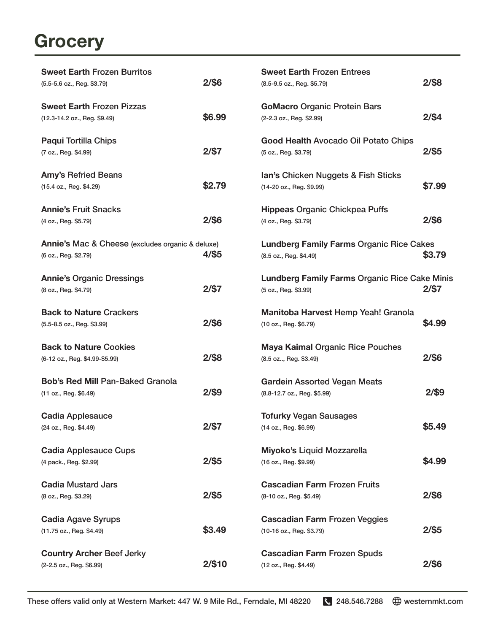### **Grocery**

| <b>Sweet Earth Frozen Burritos</b><br>(5.5-5.6 oz., Reg. \$3.79)              | $2/$ \$6 | <b>Sweet Earth Frozen Entrees</b><br>(8.5-9.5 oz., Reg. \$5.79)              | 2/\$8    |
|-------------------------------------------------------------------------------|----------|------------------------------------------------------------------------------|----------|
|                                                                               |          |                                                                              |          |
| <b>Sweet Earth Frozen Pizzas</b><br>(12.3-14.2 oz., Reg. \$9.49)              | \$6.99   | <b>GoMacro Organic Protein Bars</b><br>(2-2.3 oz., Reg. \$2.99)              | $2/$ \$4 |
| <b>Paqui Tortilla Chips</b><br>(7 oz., Reg. \$4.99)                           | $2/$ \$7 | Good Health Avocado Oil Potato Chips<br>(5 oz., Reg. \$3.79)                 | $2/$ \$5 |
| <b>Amy's Refried Beans</b><br>(15.4 oz., Reg. \$4.29)                         | \$2.79   | <b>Ian's Chicken Nuggets &amp; Fish Sticks</b><br>(14-20 oz., Reg. \$9.99)   | \$7.99   |
| <b>Annie's Fruit Snacks</b><br>(4 oz., Reg. \$5.79)                           | $2/$ \$6 | <b>Hippeas Organic Chickpea Puffs</b><br>(4 oz., Reg. \$3.79)                | 2/\$6    |
| Annie's Mac & Cheese (excludes organic & deluxe)<br>(6 oz., Reg. \$2.79)      | 4/\$5    | <b>Lundberg Family Farms Organic Rice Cakes</b><br>(8.5 oz., Reg. \$4.49)    | \$3.79   |
| <b>Annie's Organic Dressings</b><br>(8 oz., Reg. \$4.79)                      | $2/$ \$7 | <b>Lundberg Family Farms Organic Rice Cake Minis</b><br>(5 oz., Reg. \$3.99) | 2/\$7    |
| <b>Back to Nature Crackers</b><br>$(5.5-8.5 \text{ oz.}, \text{Reg. } $3.99)$ | $2/$ \$6 | Manitoba Harvest Hemp Yeah! Granola<br>(10 oz., Reg. \$6.79)                 | \$4.99   |
| <b>Back to Nature Cookies</b><br>(6-12 oz., Reg. \$4.99-\$5.99)               | $2/$ \$8 | <b>Maya Kaimal Organic Rice Pouches</b><br>(8.5 oz, Reg. \$3.49)             | $2/$ \$6 |
| <b>Bob's Red Mill Pan-Baked Granola</b><br>(11 oz., Reg. \$6.49)              | $2/$ \$9 | <b>Gardein Assorted Vegan Meats</b><br>(8.8-12.7 oz., Reg. \$5.99)           | $2/$ \$9 |
| <b>Cadia Applesauce</b><br>(24 oz., Reg. \$4.49)                              | $2/$ \$7 | <b>Tofurky Vegan Sausages</b><br>(14 oz., Reg. \$6.99)                       | \$5.49   |
| <b>Cadia Applesauce Cups</b><br>(4 pack., Reg. \$2.99)                        | $2/$ \$5 | Miyoko's Liquid Mozzarella<br>(16 oz., Reg. \$9.99)                          | \$4.99   |
| <b>Cadia Mustard Jars</b><br>(8 oz., Reg. \$3.29)                             | $2/$ \$5 | <b>Cascadian Farm Frozen Fruits</b><br>(8-10 oz., Reg. \$5.49)               | $2/$ \$6 |
| <b>Cadia Agave Syrups</b><br>(11.75 oz., Reg. \$4.49)                         | \$3.49   | <b>Cascadian Farm Frozen Veggies</b><br>(10-16 oz., Reg. \$3.79)             | $2/$ \$5 |
| <b>Country Archer Beef Jerky</b><br>(2-2.5 oz., Reg. \$6.99)                  | 2/\$10   | <b>Cascadian Farm Frozen Spuds</b><br>(12 oz., Reg. \$4.49)                  | $2/$ \$6 |